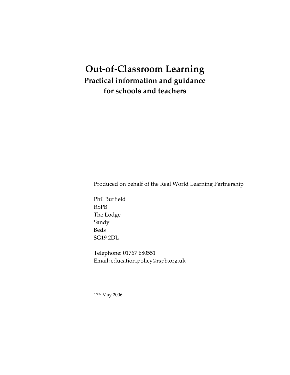# **Out-of-Classroom Learning Practical information and guidance for schools and teachers**

Produced on behalf of the Real World Learning Partnership

Phil Burfield RSPB The Lodge Sandy Beds SG19 2DL

Telephone: 01767 680551 Email: education.policy@rspb.org.uk

17th May 2006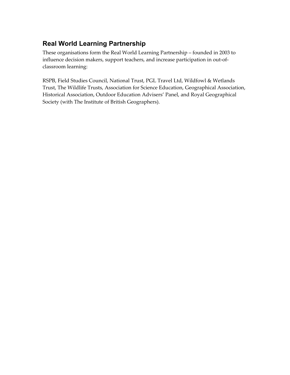## **Real World Learning Partnership**

These organisations form the Real World Learning Partnership – founded in 2003 to influence decision makers, support teachers, and increase participation in out-ofclassroom learning:

RSPB, Field Studies Council, National Trust, PGL Travel Ltd, Wildfowl & Wetlands Trust, The Wildlife Trusts, Association for Science Education, Geographical Association, Historical Association, Outdoor Education Advisers' Panel, and Royal Geographical Society (with The Institute of British Geographers).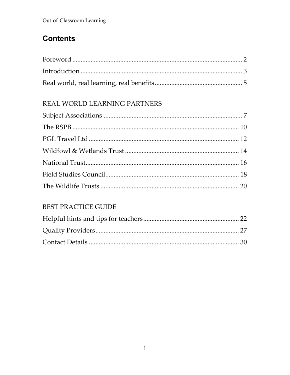# **Contents**

# REAL WORLD LEARNING PARTNERS

# BEST PRACTICE GUIDE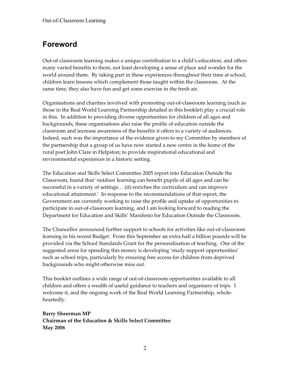# **Foreword**

Out-of-classroom learning makes a unique contribution to a child's education, and offers many varied benefits to them, not least developing a sense of place and wonder for the world around them. By taking part in these experiences throughout their time at school, children learn lessons which complement those taught within the classroom. At the same time, they also have fun and get some exercise in the fresh air.

Organisations and charities involved with promoting out-of-classroom learning (such as those in the Real World Learning Partnership detailed in this booklet) play a crucial role in this. In addition to providing diverse opportunities for children of all ages and backgrounds, these organisations also raise the profile of education outside the classroom and increase awareness of the benefits it offers to a variety of audiences. Indeed, such was the importance of the evidence given to my Committee by members of the partnership that a group of us have now started a new centre in the home of the rural poet John Clare in Helpston; to provide inspirational educational and environmental experiences in a historic setting.

The Education and Skills Select Committee 2005 report into Education Outside the Classroom, found that 'outdoor learning can benefit pupils of all ages and can be successful in a variety of settings… (it) enriches the curriculum and can improve educational attainment.' In response to the recommendations of that report, the Government are currently working to raise the profile and uptake of opportunities to participate in out-of-classroom learning, and I am looking forward to reading the Department for Education and Skills' Manifesto for Education Outside the Classroom.

The Chancellor announced further support to schools for activities like out-of-classroom learning in his recent Budget. From this September an extra half a billion pounds will be provided via the School Standards Grant for the personalisation of teaching. One of the suggested areas for spending this money is developing 'study support opportunities' such as school trips, particularly by ensuring free access for children from deprived backgrounds who might otherwise miss out.

This booklet outlines a wide range of out-of-classroom opportunities available to all children and offers a wealth of useful guidance to teachers and organisers of trips. I welcome it, and the ongoing work of the Real World Learning Partnership, wholeheartedly.

**Barry Sheerman MP Chairman of the Education & Skills Select Committee May 2006**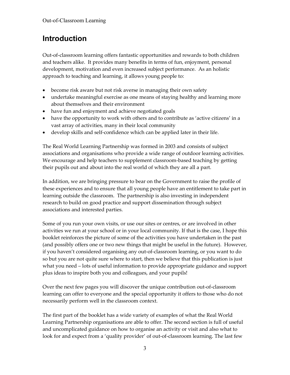# **Introduction**

Out-of-classroom learning offers fantastic opportunities and rewards to both children and teachers alike. It provides many benefits in terms of fun, enjoyment, personal development, motivation and even increased subject performance. As an holistic approach to teaching and learning, it allows young people to:

- become risk aware but not risk averse in managing their own safety
- undertake meaningful exercise as one means of staying healthy and learning more about themselves and their environment
- have fun and enjoyment and achieve negotiated goals
- have the opportunity to work with others and to contribute as 'active citizens' in a vast array of activities, many in their local community
- develop skills and self-confidence which can be applied later in their life.

The Real World Learning Partnership was formed in 2003 and consists of subject associations and organisations who provide a wide range of outdoor learning activities. We encourage and help teachers to supplement classroom-based teaching by getting their pupils out and about into the real world of which they are all a part.

In addition, we are bringing pressure to bear on the Government to raise the profile of these experiences and to ensure that all young people have an entitlement to take part in learning outside the classroom. The partnership is also investing in independent research to build on good practice and support dissemination through subject associations and interested parties.

Some of you run your own visits, or use our sites or centres, or are involved in other activities we run at your school or in your local community. If that is the case, I hope this booklet reinforces the picture of some of the activities you have undertaken in the past (and possibly offers one or two new things that might be useful in the future). However, if you haven't considered organising any out-of-classroom learning, or you want to do so but you are not quite sure where to start, then we believe that this publication is just what you need – lots of useful information to provide appropriate guidance and support plus ideas to inspire both you and colleagues, and your pupils!

Over the next few pages you will discover the unique contribution out-of-classroom learning can offer to everyone and the special opportunity it offers to those who do not necessarily perform well in the classroom context.

The first part of the booklet has a wide variety of examples of what the Real World Learning Partnership organisations are able to offer. The second section is full of useful and uncomplicated guidance on how to organise an activity or visit and also what to look for and expect from a 'quality provider' of out-of-classroom learning. The last few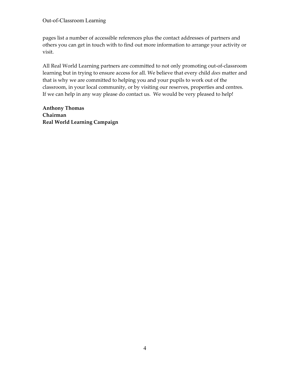pages list a number of accessible references plus the contact addresses of partners and others you can get in touch with to find out more information to arrange your activity or visit.

All Real World Learning partners are committed to not only promoting out-of-classroom learning but in trying to ensure access for all. We believe that every child *does* matter and that is why we are committed to helping you and your pupils to work out of the classroom, in your local community, or by visiting our reserves, properties and centres. If we can help in any way please do contact us. We would be very pleased to help!

**Anthony Thomas Chairman Real World Learning Campaign**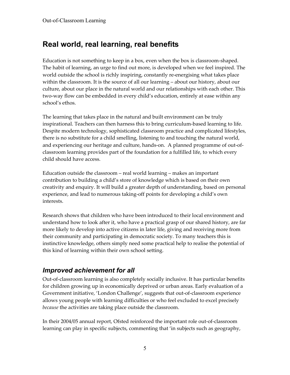# **Real world, real learning, real benefits**

Education is not something to keep in a box, even when the box is classroom-shaped. The habit of learning, an urge to find out more, is developed when we feel inspired. The world outside the school is richly inspiring, constantly re-energising what takes place within the classroom. It is the source of all our learning – about our history, about our culture, about our place in the natural world and our relationships with each other. This two-way flow can be embedded in every child's education, entirely at ease within any school's ethos.

The learning that takes place in the natural and built environment can be truly inspirational. Teachers can then harness this to bring curriculum-based learning to life. Despite modern technology, sophisticated classroom practice and complicated lifestyles, there is no substitute for a child smelling, listening to and touching the natural world, and experiencing our heritage and culture, hands-on. A planned programme of out-ofclassroom learning provides part of the foundation for a fulfilled life, to which every child should have access.

Education outside the classroom – real world learning – makes an important contribution to building a child's store of knowledge which is based on their own creativity and enquiry. It will build a greater depth of understanding, based on personal experience, and lead to numerous taking-off points for developing a child's own interests.

Research shows that children who have been introduced to their local environment and understand how to look after it, who have a practical grasp of our shared history, are far more likely to develop into active citizens in later life, giving and receiving more from their community and participating in democratic society. To many teachers this is instinctive knowledge, others simply need some practical help to realise the potential of this kind of learning within their own school setting.

## *Improved achievement for all*

Out-of-classroom learning is also completely socially inclusive. It has particular benefits for children growing up in economically deprived or urban areas. Early evaluation of a Government initiative, 'London Challenge', suggests that out-of-classroom experience allows young people with learning difficulties or who feel excluded to excel precisely *because* the activities are taking place outside the classroom.

In their 2004/05 annual report, Ofsted reinforced the important role out-of-classroom learning can play in specific subjects, commenting that 'in subjects such as geography,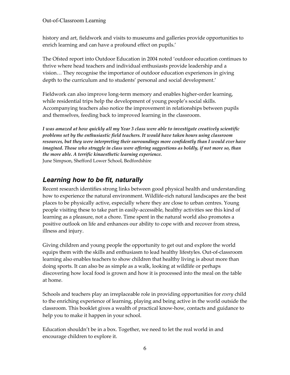history and art, fieldwork and visits to museums and galleries provide opportunities to enrich learning and can have a profound effect on pupils.'

The Ofsted report into Outdoor Education in 2004 noted 'outdoor education continues to thrive where head teachers and individual enthusiasts provide leadership and a vision… They recognise the importance of outdoor education experiences in giving depth to the curriculum and to students' personal and social development.'

Fieldwork can also improve long-term memory and enables higher-order learning, while residential trips help the development of young people's social skills. Accompanying teachers also notice the improvement in relationships between pupils and themselves, feeding back to improved learning in the classroom.

*I was amazed at how quickly all my Year 3 class were able to investigate creatively scientific problems set by the enthusiastic field teachers. It would have taken hours using classroom resources, but they were interpreting their surroundings more confidently than I would ever have*  imagined. Those who struggle in class were offering suggestions as boldly, if not more so, than *the more able. A terrific kinaesthetic learning experience.* June Simpson, Shefford Lower School, Bedfordshire

## *Learning how to be fit, naturally*

Recent research identifies strong links between good physical health and understanding how to experience the natural environment. Wildlife-rich natural landscapes are the best places to be physically active, especially where they are close to urban centres. Young people visiting these to take part in easily-accessible, healthy activities see this kind of learning as a pleasure, not a chore. Time spent in the natural world also promotes a positive outlook on life and enhances our ability to cope with and recover from stress, illness and injury.

Giving children and young people the opportunity to get out and explore the world equips them with the skills and enthusiasm to lead healthy lifestyles. Out-of-classroom learning also enables teachers to show children that healthy living is about more than doing sports. It can also be as simple as a walk, looking at wildlife or perhaps discovering how local food is grown and how it is processed into the meal on the table at home.

Schools and teachers play an irreplaceable role in providing opportunities for *every* child to the enriching experience of learning, playing and being active in the world outside the classroom. This booklet gives a wealth of practical know-how, contacts and guidance to help you to make it happen in your school.

Education shouldn't be in a box. Together, we need to let the real world in and encourage children to explore it.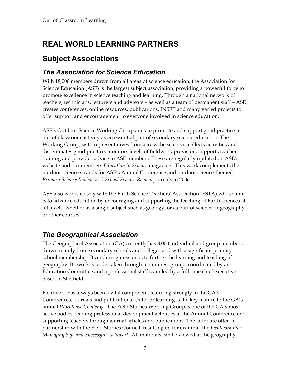# **REAL WORLD LEARNING PARTNERS**

# **Subject Associations**

## *The Association for Science Education*

With 18,000 members drawn from all areas of science education, the Association for Science Education (ASE) is the largest subject association, providing a powerful force to promote excellence in science teaching and learning. Through a national network of teachers, technicians, lecturers and advisors – as well as a team of permanent staff – ASE creates conferences, online resources, publications, INSET and many varied projects to offer support and encouragement to everyone involved in science education.

ASE's Outdoor Science Working Group aims to promote and support good practice in out-of-classroom activity as an essential part of secondary science education. The Working Group, with representatives from across the sciences, collects activities and disseminates good practice, monitors levels of fieldwork provision, supports teacher training and provides advice to ASE members. These are regularly updated on ASE's website and our members *Education in Science* magazine. This work complements the outdoor science strands for ASE's Annual Conference and outdoor science-themed *Primary Science Review* and *School Science Review* journals in 2006.

ASE also works closely with the Earth Science Teachers' Association (ESTA) whose aim is to advance education by encouraging and supporting the teaching of Earth sciences at all levels, whether as a single subject such as geology, or as part of science or geography or other courses.

## *The Geographical Association*

The Geographical Association (GA) currently has 8,000 individual and group members drawn mainly from secondary schools and colleges and with a significant primary school membership. Its enduring mission is to further the learning and teaching of geography. Its work is undertaken through ten interest groups coordinated by an Education Committee and a professional staff team led by a full time chief executive based in Sheffield.

Fieldwork has always been a vital component, featuring strongly in the GA's Conferences, journals and publications. Outdoor learning is the key feature to the GA's annual *Worldwise Challenge*. The Field Studies Working Group is one of the GA's most active bodies, leading professional development activities at the Annual Conference and supporting teachers through journal articles and publications. The latter are often in partnership with the Field Studies Council, resulting in, for example, the *Fieldwork File: Managing Safe and Successful Fieldwork*. All materials can be viewed at the geography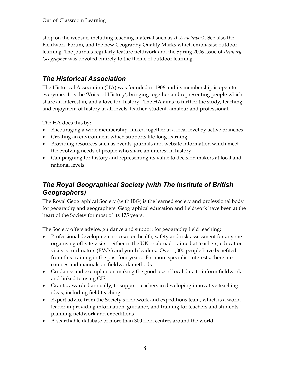shop on the website, including teaching material such as *A-Z Fieldwork*. See also the Fieldwork Forum, and the new Geography Quality Marks which emphasise outdoor learning. The journals regularly feature fieldwork and the Spring 2006 issue of *Primary Geographer* was devoted entirely to the theme of outdoor learning.

## *The Historical Association*

The Historical Association (HA) was founded in 1906 and its membership is open to everyone. It is the 'Voice of History', bringing together and representing people which share an interest in, and a love for, history. The HA aims to further the study, teaching and enjoyment of history at all levels; teacher, student, amateur and professional.

The HA does this by:

- Encouraging a wide membership, linked together at a local level by active branches
- Creating an environment which supports life-long learning
- Providing resources such as events, journals and website information which meet the evolving needs of people who share an interest in history
- Campaigning for history and representing its value to decision makers at local and national levels.

## *The Royal Geographical Society (with The Institute of British Geographers)*

The Royal Geographical Society (with IBG) is the learned society and professional body for geography and geographers. Geographical education and fieldwork have been at the heart of the Society for most of its 175 years.

The Society offers advice, guidance and support for geography field teaching:

- Professional development courses on health, safety and risk assessment for anyone organising off-site visits – either in the UK or abroad – aimed at teachers, education visits co-ordinators (EVCs) and youth leaders. Over 1,000 people have benefited from this training in the past four years. For more specialist interests, there are courses and manuals on fieldwork methods
- Guidance and exemplars on making the good use of local data to inform fieldwork and linked to using GIS
- Grants, awarded annually, to support teachers in developing innovative teaching ideas, including field teaching
- Expert advice from the Society's fieldwork and expeditions team, which is a world leader in providing information, guidance, and training for teachers and students planning fieldwork and expeditions
- A searchable database of more than 300 field centres around the world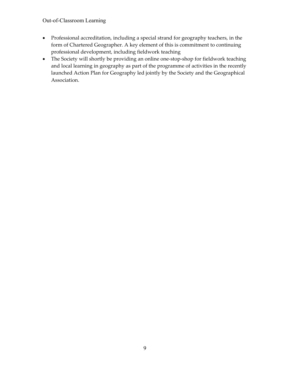- Professional accreditation, including a special strand for geography teachers, in the form of Chartered Geographer. A key element of this is commitment to continuing professional development, including fieldwork teaching
- The Society will shortly be providing an online one-stop-shop for fieldwork teaching and local learning in geography as part of the programme of activities in the recently launched Action Plan for Geography led jointly by the Society and the Geographical Association.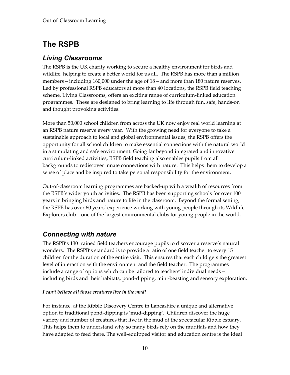# **The RSPB**

### *Living Classrooms*

The RSPB is the UK charity working to secure a healthy environment for birds and wildlife, helping to create a better world for us all. The RSPB has more than a million members – including 160,000 under the age of 18 – and more than 180 nature reserves. Led by professional RSPB educators at more than 40 locations, the RSPB field teaching scheme, Living Classrooms, offers an exciting range of curriculum-linked education programmes. These are designed to bring learning to life through fun, safe, hands-on and thought provoking activities.

More than 50,000 school children from across the UK now enjoy real world learning at an RSPB nature reserve every year. With the growing need for everyone to take a sustainable approach to local and global environmental issues, the RSPB offers the opportunity for all school children to make essential connections with the natural world in a stimulating and safe environment. Going far beyond integrated and innovative curriculum-linked activities, RSPB field teaching also enables pupils from all backgrounds to rediscover innate connections with nature. This helps them to develop a sense of place and be inspired to take personal responsibility for the environment.

Out-of-classroom learning programmes are backed-up with a wealth of resources from the RSPB's wider youth activities. The RSPB has been supporting schools for over 100 years in bringing birds and nature to life in the classroom. Beyond the formal setting, the RSPB has over 60 years' experience working with young people through its Wildlife Explorers club – one of the largest environmental clubs for young people in the world.

### *Connecting with nature*

The RSPB's 130 trained field teachers encourage pupils to discover a reserve's natural wonders. The RSPB's standard is to provide a ratio of one field teacher to every 15 children for the duration of the entire visit. This ensures that each child gets the greatest level of interaction with the environment and the field teacher. The programmes include a range of options which can be tailored to teachers' individual needs – including birds and their habitats, pond-dipping, mini-beasting and sensory exploration.

### *I can't believe all those creatures live in the mud!*

For instance, at the Ribble Discovery Centre in Lancashire a unique and alternative option to traditional pond-dipping is 'mud-dipping'. Children discover the huge variety and number of creatures that live in the mud of the spectacular Ribble estuary. This helps them to understand why so many birds rely on the mudflats and how they have adapted to feed there. The well-equipped visitor and education centre is the ideal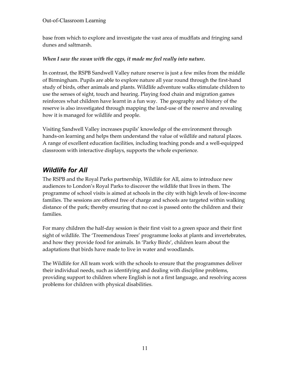base from which to explore and investigate the vast area of mudflats and fringing sand dunes and saltmarsh.

### *When I saw the swan with the eggs, it made me feel really into nature.*

In contrast, the RSPB Sandwell Valley nature reserve is just a few miles from the middle of Birmingham. Pupils are able to explore nature all year round through the first-hand study of birds, other animals and plants. Wildlife adventure walks stimulate children to use the senses of sight, touch and hearing. Playing food chain and migration games reinforces what children have learnt in a fun way. The geography and history of the reserve is also investigated through mapping the land-use of the reserve and revealing how it is managed for wildlife and people.

Visiting Sandwell Valley increases pupils' knowledge of the environment through hands-on learning and helps them understand the value of wildlife and natural places. A range of excellent education facilities, including teaching ponds and a well-equipped classroom with interactive displays, supports the whole experience.

## *Wildlife for All*

The RSPB and the Royal Parks partnership, Wildlife for All, aims to introduce new audiences to London's Royal Parks to discover the wildlife that lives in them. The programme of school visits is aimed at schools in the city with high levels of low-income families. The sessions are offered free of charge and schools are targeted within walking distance of the park; thereby ensuring that no cost is passed onto the children and their families.

For many children the half-day session is their first visit to a green space and their first sight of wildlife. The 'Treemendous Trees' programme looks at plants and invertebrates, and how they provide food for animals. In 'Parky Birds', children learn about the adaptations that birds have made to live in water and woodlands.

The Wildlife for All team work with the schools to ensure that the programmes deliver their individual needs, such as identifying and dealing with discipline problems, providing support to children where English is not a first language, and resolving access problems for children with physical disabilities.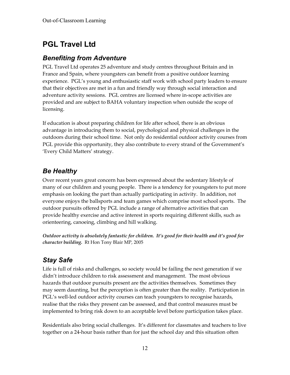# **PGL Travel Ltd**

### *Benefiting from Adventure*

PGL Travel Ltd operates 25 adventure and study centres throughout Britain and in France and Spain, where youngsters can benefit from a positive outdoor learning experience. PGL's young and enthusiastic staff work with school party leaders to ensure that their objectives are met in a fun and friendly way through social interaction and adventure activity sessions. PGL centres are licensed where in-scope activities are provided and are subject to BAHA voluntary inspection when outside the scope of licensing.

If education is about preparing children for life after school, there is an obvious advantage in introducing them to social, psychological and physical challenges in the outdoors during their school time. Not only do residential outdoor activity courses from PGL provide this opportunity, they also contribute to every strand of the Government's 'Every Child Matters' strategy.

## *Be Healthy*

Over recent years great concern has been expressed about the sedentary lifestyle of many of our children and young people. There is a tendency for youngsters to put more emphasis on looking the part than actually participating in activity. In addition, not everyone enjoys the ballsports and team games which comprise most school sports. The outdoor pursuits offered by PGL include a range of alternative activities that can provide healthy exercise and active interest in sports requiring different skills, such as orienteering, canoeing, climbing and hill walking.

*Outdoor activity is absolutely fantastic for children. It's good for their health and it's good for character building.* Rt Hon Tony Blair MP, 2005

## *Stay Safe*

Life is full of risks and challenges, so society would be failing the next generation if we didn't introduce children to risk assessment and management. The most obvious hazards that outdoor pursuits present are the activities themselves. Sometimes they may seem daunting, but the perception is often greater than the reality. Participation in PGL's well-led outdoor activity courses can teach youngsters to recognise hazards, realise that the risks they present can be assessed, and that control measures must be implemented to bring risk down to an acceptable level before participation takes place.

Residentials also bring social challenges. It's different for classmates and teachers to live together on a 24-hour basis rather than for just the school day and this situation often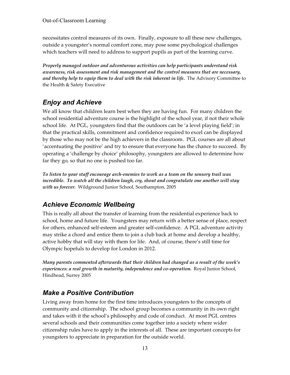necessitates control measures of its own. Finally, exposure to all these new challenges, outside a youngster's normal comfort zone, may pose some psychological challenges which teachers will need to address to support pupils as part of the learning curve.

*Properly managed outdoor and adventurous activities can help participants understand risk awareness, risk assessment and risk management and the control measures that are necessary, and thereby help to equip them to deal with the risk inherent in life.* The Advisory Committee to the Health & Safety Executive

## *Enjoy and Achieve*

We all know that children learn best when they are having fun. For many children the school residential adventure course is the highlight of the school year, if not their whole school life. At PGL, youngsters find that the outdoors can be 'a level playing field'; in that the practical skills, commitment and confidence required to excel can be displayed by those who may not be the high achievers in the classroom. PGL courses are all about 'accentuating the positive' and try to ensure that everyone has the chance to succeed. By operating a 'challenge by choice' philosophy, youngsters are allowed to determine how far they go, so that no one is pushed too far.

*To listen to your staff encourage arch-enemies to work as a team on the sensory trail was*  incredible. To watch all the children laugh, cry, shout and congratulate one another will stay *with us forever.* Wildground Junior School, Southampton, 2005

## *Achieve Economic Wellbeing*

This is really all about the transfer of learning from the residential experience back to school, home and future life. Youngsters may return with a better sense of place, respect for others, enhanced self-esteem and greater self-confidence. A PGL adventure activity may strike a chord and entice them to join a club back at home and develop a healthy, active hobby that will stay with them for life. And, of course, there's still time for Olympic hopefuls to develop for London in 2012.

*Many parents commented afterwards that their children had changed as a result of the week's experiences: a real growth in maturity, independence and co-operation.* Royal Junior School, Hindhead, Surrey 2005

## *Make a Positive Contribution*

Living away from home for the first time introduces youngsters to the concepts of community and citizenship. The school group becomes a community in its own right and takes with it the school's philosophy and code of conduct. At most PGL centres several schools and their communities come together into a society where wider citizenship rules have to apply in the interests of all. These are important concepts for youngsters to appreciate in preparation for the outside world.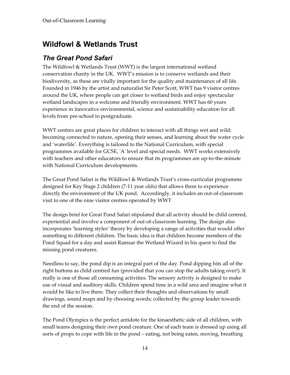# **Wildfowl & Wetlands Trust**

### *The Great Pond Safari*

The Wildfowl & Wetlands Trust (WWT) is the largest international wetland conservation charity in the UK. WWT's mission is to conserve wetlands and their biodiversity, as these are vitally important for the quality and maintenance of all life. Founded in 1946 by the artist and naturalist Sir Peter Scott, WWT has 9 visitor centres around the UK, where people can get closer to wetland birds and enjoy spectacular wetland landscapes in a welcome and friendly environment. WWT has 60 years experience in innovative environmental, science and sustainability education for all levels from pre-school to postgraduate.

WWT centres are great places for children to interact with all things wet and wild; becoming connected to nature, opening their senses, and learning about the water cycle and 'waterlife'. Everything is tailored to the National Curriculum, with special programmes available for GCSE, 'A' level and special needs. WWT works extensively with teachers and other educators to ensure that its programmes are up-to-the-minute with National Curriculum developments.

The Great Pond Safari is the Wildfowl & Wetlands Trust's cross-curricular programme designed for Key Stage 2 children (7-11 year olds) that allows them to experience directly the environment of the UK pond. Accordingly, it includes an out-of-classroom visit to one of the nine visitor centres operated by WWT

The design brief for Great Pond Safari stipulated that all activity should be child centred, experiential and involve a component of out-of-classroom learning. The design also incorporates 'learning styles' theory by developing a range of activities that would offer something to different children. The basic idea is that children become members of the Pond Squad for a day and assist Ramsar the Wetland Wizard in his quest to find the missing pond creatures.

Needless to say, the pond dip is an integral part of the day. Pond dipping hits all of the right buttons as child centred fun (provided that you can stop the adults taking over!). It really is one of those all consuming activities. The sensory activity is designed to make use of visual and auditory skills. Children spend time in a wild area and imagine what it would be like to live there. They collect their thoughts and observations by small drawings, sound maps and by choosing words; collected by the group leader towards the end of the session.

The Pond Olympics is the perfect antidote for the kinaesthetic side of all children, with small teams designing their own pond creature. One of each team is dressed up using all sorts of props to cope with life in the pond – eating, not being eaten, moving, breathing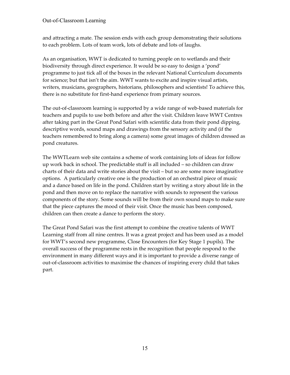and attracting a mate. The session ends with each group demonstrating their solutions to each problem. Lots of team work, lots of debate and lots of laughs.

As an organisation, WWT is dedicated to turning people on to wetlands and their biodiversity through direct experience. It would be so easy to design a 'pond' programme to just tick all of the boxes in the relevant National Curriculum documents for science; but that isn't the aim. WWT wants to excite and inspire visual artists, writers, musicians, geographers, historians, philosophers and scientists! To achieve this, there is no substitute for first-hand experience from primary sources.

The out-of-classroom learning is supported by a wide range of web-based materials for teachers and pupils to use both before and after the visit. Children leave WWT Centres after taking part in the Great Pond Safari with scientific data from their pond dipping, descriptive words, sound maps and drawings from the sensory activity and (if the teachers remembered to bring along a camera) some great images of children dressed as pond creatures.

The WWTLearn web site contains a scheme of work containing lots of ideas for follow up work back in school. The predictable stuff is all included – so children can draw charts of their data and write stories about the visit – but so are some more imaginative options. A particularly creative one is the production of an orchestral piece of music and a dance based on life in the pond. Children start by writing a story about life in the pond and then move on to replace the narrative with sounds to represent the various components of the story. Some sounds will be from their own sound maps to make sure that the piece captures the mood of their visit. Once the music has been composed, children can then create a dance to perform the story.

The Great Pond Safari was the first attempt to combine the creative talents of WWT Learning staff from all nine centres. It was a great project and has been used as a model for WWT's second new programme, Close Encounters (for Key Stage 1 pupils). The overall success of the programme rests in the recognition that people respond to the environment in many different ways and it is important to provide a diverse range of out-of-classroom activities to maximise the chances of inspiring every child that takes part.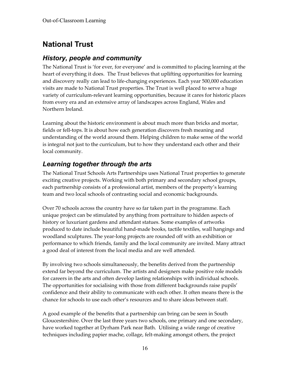# **National Trust**

### *History, people and community*

The National Trust is 'for ever, for everyone' and is committed to placing learning at the heart of everything it does. The Trust believes that uplifting opportunities for learning and discovery really can lead to life-changing experiences. Each year 500,000 education visits are made to National Trust properties. The Trust is well placed to serve a huge variety of curriculum-relevant learning opportunities, because it cares for historic places from every era and an extensive array of landscapes across England, Wales and Northern Ireland.

Learning about the historic environment is about much more than bricks and mortar, fields or fell-tops. It is about how each generation discovers fresh meaning and understanding of the world around them. Helping children to make sense of the world is integral not just to the curriculum, but to how they understand each other and their local community.

### *Learning together through the arts*

The National Trust Schools Arts Partnerships uses National Trust properties to generate exciting creative projects. Working with both primary and secondary school groups, each partnership consists of a professional artist, members of the property's learning team and two local schools of contrasting social and economic backgrounds.

Over 70 schools across the country have so far taken part in the programme. Each unique project can be stimulated by anything from portraiture to hidden aspects of history or luxuriant gardens and attendant statues. Some examples of artworks produced to date include beautiful hand-made books, tactile textiles, wall hangings and woodland sculptures. The year-long projects are rounded off with an exhibition or performance to which friends, family and the local community are invited. Many attract a good deal of interest from the local media and are well attended.

By involving two schools simultaneously, the benefits derived from the partnership extend far beyond the curriculum. The artists and designers make positive role models for careers in the arts and often develop lasting relationships with individual schools. The opportunities for socialising with those from different backgrounds raise pupils' confidence and their ability to communicate with each other. It often means there is the chance for schools to use each other's resources and to share ideas between staff.

A good example of the benefits that a partnership can bring can be seen in South Gloucestershire. Over the last three years two schools, one primary and one secondary, have worked together at Dyrham Park near Bath. Utilising a wide range of creative techniques including papier mache, collage, felt-making amongst others, the project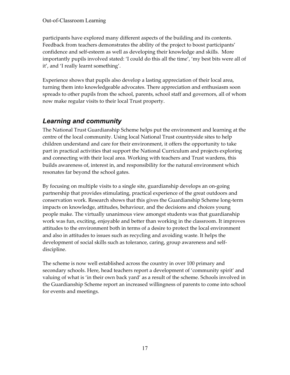participants have explored many different aspects of the building and its contents. Feedback from teachers demonstrates the ability of the project to boost participants' confidence and self-esteem as well as developing their knowledge and skills. More importantly pupils involved stated: 'I could do this all the time', 'my best bits were all of it', and 'I really learnt something'.

Experience shows that pupils also develop a lasting appreciation of their local area, turning them into knowledgeable advocates. There appreciation and enthusiasm soon spreads to other pupils from the school, parents, school staff and governors, all of whom now make regular visits to their local Trust property.

### *Learning and community*

The National Trust Guardianship Scheme helps put the environment and learning at the centre of the local community. Using local National Trust countryside sites to help children understand and care for their environment, it offers the opportunity to take part in practical activities that support the National Curriculum and projects exploring and connecting with their local area. Working with teachers and Trust wardens, this builds awareness of, interest in, and responsibility for the natural environment which resonates far beyond the school gates.

By focusing on multiple visits to a single site, guardianship develops an on-going partnership that provides stimulating, practical experience of the great outdoors and conservation work. Research shows that this gives the Guardianship Scheme long-term impacts on knowledge, attitudes, behaviour, and the decisions and choices young people make. The virtually unanimous view amongst students was that guardianship work was fun, exciting, enjoyable and better than working in the classroom. It improves attitudes to the environment both in terms of a desire to protect the local environment and also in attitudes to issues such as recycling and avoiding waste. It helps the development of social skills such as tolerance, caring, group awareness and selfdiscipline.

The scheme is now well established across the country in over 100 primary and secondary schools. Here, head teachers report a development of 'community spirit' and valuing of what is 'in their own back yard' as a result of the scheme. Schools involved in the Guardianship Scheme report an increased willingness of parents to come into school for events and meetings.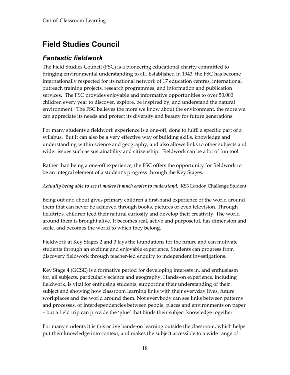# **Field Studies Council**

### *Fantastic fieldwork*

The Field Studies Council (FSC) is a pioneering educational charity committed to bringing environmental understanding to all. Established in 1943, the FSC has become internationally respected for its national network of 17 education centres, international outreach training projects, research programmes, and information and publication services. The FSC provides enjoyable and informative opportunities to over 50,000 children every year to discover, explore, be inspired by, and understand the natural environment. The FSC believes the more we know about the environment, the more we can appreciate its needs and protect its diversity and beauty for future generations.

For many students a fieldwork experience is a one-off, done to fulfil a specific part of a syllabus. But it can also be a very effective way of building skills, knowledge and understanding within science and geography, and also allows links to other subjects and wider issues such as sustainability and citizenship. Fieldwork can be a lot of fun too!

Rather than being a one-off experience, the FSC offers the opportunity for fieldwork to be an integral element of a student's progress through the Key Stages.

#### *Actually being able to see it makes it much easier to understand.* KS3 London Challenge Student

Being out and about gives primary children a first-hand experience of the world around them that can never be achieved through books, pictures or even television. Through fieldtrips, children feed their natural curiosity and develop their creativity. The world around them is brought alive. It becomes real, active and purposeful, has dimension and scale, and becomes the world to which they belong.

Fieldwork at Key Stages 2 and 3 lays the foundations for the future and can motivate students through an exciting and enjoyable experience. Students can progress from discovery fieldwork through teacher-led enquiry to independent investigations.

Key Stage 4 (GCSE) is a formative period for developing interests in, and enthusiasm for, all subjects, particularly science and geography. Hands-on experience, including fieldwork, is vital for enthusing students, supporting their understanding of their subject and showing how classroom learning links with their everyday lives, future workplaces and the world around them. Not everybody can see links between patterns and processes, or interdependencies between people, places and environments on paper – but a field trip can provide the 'glue' that binds their subject knowledge together.

For many students it is this active hands-on learning outside the classroom, which helps put their knowledge into context, and makes the subject accessible to a wide range of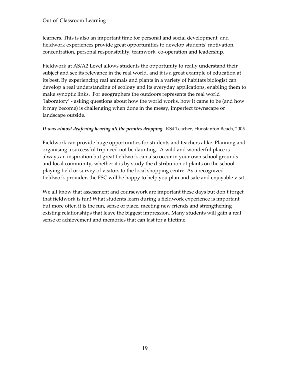learners. This is also an important time for personal and social development, and fieldwork experiences provide great opportunities to develop students' motivation, concentration, personal responsibility, teamwork, co-operation and leadership.

Fieldwork at AS/A2 Level allows students the opportunity to really understand their subject and see its relevance in the real world, and it is a great example of education at its best. By experiencing real animals and plants in a variety of habitats biologist can develop a real understanding of ecology and its everyday applications, enabling them to make synoptic links. For geographers the outdoors represents the real world 'laboratory' - asking questions about how the world works, how it came to be (and how it may become) is challenging when done in the messy, imperfect townscape or landscape outside.

#### *It was almost deafening hearing all the pennies dropping.* KS4 Teacher, Hunstanton Beach, 2005

Fieldwork can provide huge opportunities for students and teachers alike. Planning and organising a successful trip need not be daunting. A wild and wonderful place is always an inspiration but great fieldwork can also occur in your own school grounds and local community, whether it is by study the distribution of plants on the school playing field or survey of visitors to the local shopping centre. As a recognized fieldwork provider, the FSC will be happy to help you plan and safe and enjoyable visit.

We all know that assessment and coursework are important these days but don't forget that fieldwork is fun! What students learn during a fieldwork experience is important, but more often it is the fun, sense of place, meeting new friends and strengthening existing relationships that leave the biggest impression. Many students will gain a real sense of achievement and memories that can last for a lifetime.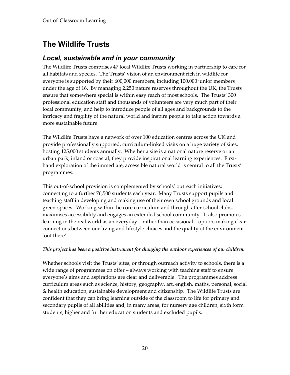# **The Wildlife Trusts**

### *Local, sustainable and in your community*

The Wildlife Trusts comprises 47 local Wildlife Trusts working in partnership to care for all habitats and species. The Trusts' vision of an environment rich in wildlife for everyone is supported by their 600,000 members, including 100,000 junior members under the age of 16. By managing 2,250 nature reserves throughout the UK, the Trusts ensure that somewhere special is within easy reach of most schools. The Trusts' 300 professional education staff and thousands of volunteers are very much part of their local community, and help to introduce people of all ages and backgrounds to the intricacy and fragility of the natural world and inspire people to take action towards a more sustainable future.

The Wildlife Trusts have a network of over 100 education centres across the UK and provide professionally supported, curriculum-linked visits on a huge variety of sites, hosting 125,000 students annually. Whether a site is a national nature reserve or an urban park, inland or coastal, they provide inspirational learning experiences. Firsthand exploration of the immediate, accessible natural world is central to all the Trusts' programmes.

This out-of-school provision is complemented by schools' outreach initiatives; connecting to a further 76,500 students each year. Many Trusts support pupils and teaching staff in developing and making use of their own school grounds and local green-spaces. Working within the core curriculum and through after-school clubs, maximises accessibility and engages an extended school community. It also promotes learning in the real world as an everyday – rather than occasional – option; making clear connections between our living and lifestyle choices and the quality of the environment 'out there'.

### *This project has been a positive instrument for changing the outdoor experiences of our children.*

Whether schools visit the Trusts' sites, or through outreach activity to schools, there is a wide range of programmes on offer – always working with teaching staff to ensure everyone's aims and aspirations are clear and deliverable. The programmes address curriculum areas such as science, history, geography, art, english, maths, personal, social & health education, sustainable development and citizenship. The Wildlife Trusts are confident that they can bring learning outside of the classroom to life for primary and secondary pupils of all abilities and, in many areas, for nursery age children, sixth form students, higher and further education students and excluded pupils.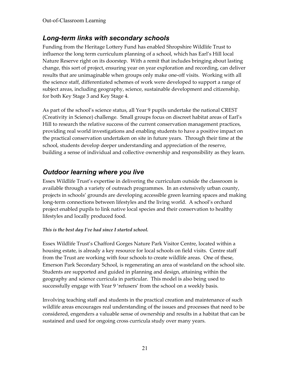### *Long-term links with secondary schools*

Funding from the Heritage Lottery Fund has enabled Shropshire Wildlife Trust to influence the long term curriculum planning of a school, which has Earl's Hill local Nature Reserve right on its doorstep. With a remit that includes bringing about lasting change, this sort of project, ensuring year on year exploration and recording, can deliver results that are unimaginable when groups only make one-off visits. Working with all the science staff, differentiated schemes of work were developed to support a range of subject areas, including geography, science, sustainable development and citizenship, for both Key Stage 3 and Key Stage 4.

As part of the school's science status, all Year 9 pupils undertake the national CREST (Creativity in Science) challenge. Small groups focus on discreet habitat areas of Earl's Hill to research the relative success of the current conservation management practices, providing real world investigations and enabling students to have a positive impact on the practical conservation undertaken on site in future years. Through their time at the school, students develop deeper understanding and appreciation of the reserve, building a sense of individual and collective ownership and responsibility as they learn.

### *Outdoor learning where you live*

Essex Wildlife Trust's expertise in delivering the curriculum outside the classroom is available through a variety of outreach programmes. In an extensively urban county, projects in schools' grounds are developing accessible green learning spaces and making long-term connections between lifestyles and the living world. A school's orchard project enabled pupils to link native local species and their conservation to healthy lifestyles and locally produced food.

### *This is the best day I've had since I started school.*

Essex Wildlife Trust's Chafford Gorges Nature Park Visitor Centre, located within a housing estate, is already a key resource for local schools on field visits. Centre staff from the Trust are working with four schools to create wildlife areas. One of these, Emerson Park Secondary School, is regenerating an area of wasteland on the school site. Students are supported and guided in planning and design, attaining within the geography and science curricula in particular. This model is also being used to successfully engage with Year 9 'refusers' from the school on a weekly basis.

Involving teaching staff and students in the practical creation and maintenance of such wildlife areas encourages real understanding of the issues and processes that need to be considered, engenders a valuable sense of ownership and results in a habitat that can be sustained and used for ongoing cross curricula study over many years.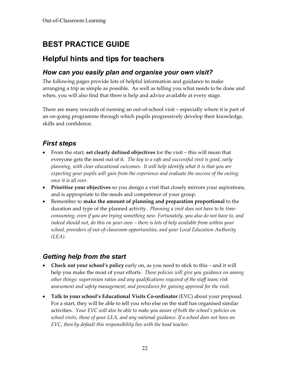# **BEST PRACTICE GUIDE**

## **Helpful hints and tips for teachers**

### *How can you easily plan and organise your own visit?*

The following pages provide lots of helpful information and guidance to make arranging a trip as simple as possible. As well as telling you what needs to be done and when, you will also find that there is help and advice available at every stage.

There are many rewards of running an out-of-school visit – especially where it is part of an on-going programme through which pupils progressively develop their knowledge, skills and confidence.

### *First steps*

- From the start, **set clearly defined objectives** for the visit this will mean that everyone gets the most out of it. *The key to a safe and successful visit is good, early planning, with clear educational outcomes. It will help identify what it is that you are expecting your pupils will gain from the experience and evaluate the success of the outing once it is all over.*
- **Prioritise your objectives** so you design a visit that closely mirrors your aspirations, and is appropriate to the needs and competence of your group.
- Remember to **make the amount of planning and preparation proportional** to the duration and type of the planned activity. *Planning a visit does not have to be timeconsuming, even if you are trying something new. Fortunately, you also do not have to, and indeed should not, do this on your own – there is lots of help available from within your school, providers of out-of-classroom opportunities, and your Local Education Authority (LEA).*

### *Getting help from the start*

- **Check out your school's policy** early on, as you need to stick to this and it will help you make the most of your efforts. *These policies will give you guidance on among other things: supervision ratios and any qualifications required of the staff team; risk assessment and safety management; and procedures for gaining approval for the visit.*
- **Talk to your school's Educational Visits Co-ordinator** (EVC) about your proposal. For a start, they will be able to tell you who else on the staff has organised similar activities. *Your EVC will also be able to make you aware of both the school's policies on school visits, those of your LEA, and any national guidance. If a school does not have an EVC, then by default this responsibility lies with the head teacher.*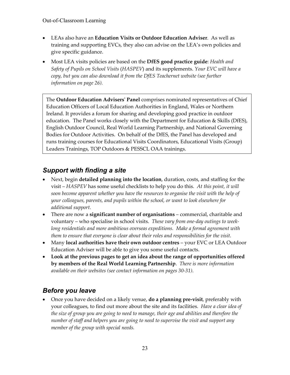- LEAs also have an **Education Visits or Outdoor Education Adviser**. As well as training and supporting EVCs, they also can advise on the LEA's own policies and give specific guidance.
- Most LEA visits policies are based on the **DfES good practice guide**: *Health and Safety of Pupils on School Visits* (*HASPEV*) and its supplements. *Your EVC will have a copy, but you can also download it from the DfES Teachernet website (see further information on page 26).*

The **Outdoor Education Advisers' Panel** comprises nominated representatives of Chief Education Officers of Local Education Authorities in England, Wales or Northern Ireland. It provides a forum for sharing and developing good practice in outdoor education. The Panel works closely with the Department for Education & Skills (DfES), English Outdoor Council, Real World Learning Partnership, and National Governing Bodies for Outdoor Activities. On behalf of the DfES, the Panel has developed and runs training courses for Educational Visits Coordinators, Educational Visits (Group) Leaders Trainings, TOP Outdoors & PESSCL OAA trainings.

### *Support with finding a site*

- Next, begin **detailed planning into the location**, duration, costs, and staffing for the visit – *HASPEV* has some useful checklists to help you do this. *At this point, it will soon become apparent whether you have the resources to organise the visit with the help of your colleagues, parents, and pupils within the school, or want to look elsewhere for additional support.*
- There are now a **significant number of organisations** commercial, charitable and voluntary – who specialise in school visits. *These vary from one-day outings to weeklong residentials and more ambitious overseas expeditions. Make a formal agreement with them to ensure that everyone is clear about their roles and responsibilities for the visit.*
- Many **local authorities have their own outdoor centres** your EVC or LEA Outdoor Education Adviser will be able to give you some useful contacts.
- **Look at the previous pages to get an idea about the range of opportunities offered by members of the Real World Learning Partnership**. *There is more information available on their websites (see contact information on pages 30-31)*.

### *Before you leave*

• Once you have decided on a likely venue, **do a planning pre-visit**, preferably with your colleagues, to find out more about the site and its facilities. *Have a clear idea of the size of group you are going to need to manage, their age and abilities and therefore the number of staff and helpers you are going to need to supervise the visit and support any member of the group with special needs.*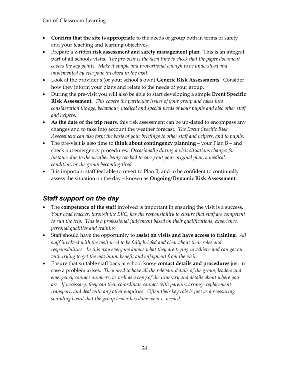- **Confirm that the site is appropriate** to the needs of group both in terms of safety and your teaching and learning objectives.
- Prepare a written **risk assessment and safety management plan**. This is an integral part of all schools visits. *The pre-visit is the ideal time to check that the paper document covers the key points. Make it simple and proportional enough to be understood and implemented by everyone involved in the visit.*
- Look at the provider's (or your school's own) **Generic Risk Assessments**. Consider how they inform your plans and relate to the needs of your group.
- During the pre-visit you will also be able to start developing a simple **Event Specific Risk Assessment**. *This covers the particular issues of your group and takes into consideration the age, behaviour, medical and special needs of your pupils and also other staff and helpers.*
- **As the date of the trip nears**, this risk assessment can be up-dated to encompass any changes and to take into account the weather forecast. *The Event Specific Risk Assessment can also form the basis of your briefings to other staff and helpers, and to pupils.*
- The pre-visit is also time to **think about contingency planning** your Plan B and check out emergency procedures. *Occasionally during a visit situations change; for*  instance due to the weather being too bad to carry out your original plan, a medical *condition, or the group becoming tired.*
- It is important staff feel able to revert to Plan B, and to be confident to continually assess the situation on the day – known as **Ongoing/Dynamic Risk Assessment**.

## *Staff support on the day*

- The **competence of the staff** involved is important in ensuring the visit is a success. *Your head teacher, through the EVC, has the responsibility to ensure that staff are competent to run the trip. This is a professional judgement based on their qualifications, experience, personal qualities and training.*
- Staff should have the opportunity to **assist on visits and have access to training**. *All staff involved with the visit need to be fully briefed and clear about their roles and responsibilities. In this way everyone knows what they are trying to achieve and can get on with trying to get the maximum benefit and enjoyment from the visit.*
- Ensure that suitable staff back at school know **contact details and procedures** just in case a problem arises. *They need to have all the relevant details of the group, leaders and emergency contact numbers, as well as a copy of the itinerary and details about where you are. If necessary, they can then co-ordinate contact with parents, arrange replacement transport, and deal with any other enquiries. Often their key role is just as a reassuring sounding board that the group leader has done what is needed.*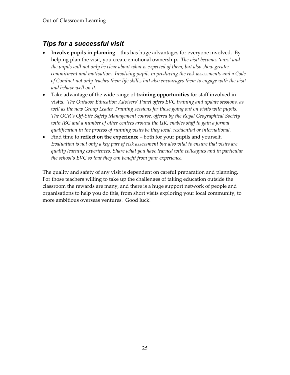## *Tips for a successful visit*

- **Involve pupils in planning** this has huge advantages for everyone involved. By helping plan the visit, you create emotional ownership*. The visit becomes 'ours' and the pupils will not only be clear about what is expected of them, but also show greater commitment and motivation. Involving pupils in producing the risk assessments and a Code of Conduct not only teaches them life skills, but also encourages them to engage with the visit and behave well on it.*
- Take advantage of the wide range of **training opportunities** for staff involved in visits. *The Outdoor Education Advisers' Panel offers EVC training and update sessions, as well as the new Group Leader Training sessions for those going out on visits with pupils. The OCR's Off-Site Safety Management course, offered by the Royal Geographical Society with IBG and a number of other centres around the UK, enables staff to gain a formal qualification in the process of running visits be they local, residential or international.*
- Find time to **reflect on the experience** both for your pupils and yourself. *Evaluation is not only a key part of risk assessment but also vital to ensure that visits are quality learning experiences. Share what you have learned with colleagues and in particular the school's EVC so that they can benefit from your experience.*

The quality and safety of any visit is dependent on careful preparation and planning. For those teachers willing to take up the challenges of taking education outside the classroom the rewards are many, and there is a huge support network of people and organisations to help you do this, from short visits exploring your local community, to more ambitious overseas ventures. Good luck!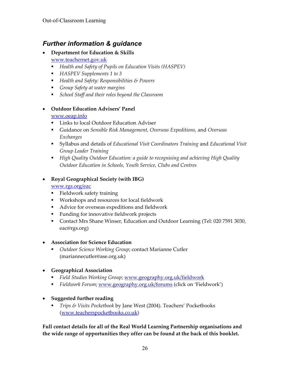### *Further information & guidance*

- **Department for Education & Skills** www.teachernet.gov.uk
	- *Health and Safety of Pupils on Education Visits (HASPEV)*
	- *HASPEV Supplements 1 to 3*
	- *Health and Safety: Responsibilities & Powers*
	- *Group Safety at water margins*
	- *School Staff and their roles beyond the Classroom*

#### • **Outdoor Education Advisers' Panel**

#### www.oeap.info

- **Links to local Outdoor Education Adviser**
- Guidance on *Sensible Risk Management, Overseas Expeditions,* and *Overseas Exchanges*
- Syllabus and details of *Educational Visit Coordinators Training* and *Educational Visit Group Leader Training*
- *High Quality Outdoor Education: a guide to recognising and achieving High Quality Outdoor Education in Schools, Youth Service, Clubs and Centres*

#### • **Royal Geographical Society (with IBG)**

#### www.rgs.org/eac

- **Fieldwork safety training**
- Workshops and resources for local fieldwork
- Advice for overseas expeditions and fieldwork
- **Funding for innovative fieldwork projects**
- **Contact Mrs Shane Winser, Education and Outdoor Learning (Tel: 020 7591 3030,** eac@rgs.org)

### • **Association for Science Education**

 *Outdoor Science Working Group*; contact Marianne Cutler (mariannecutler@ase.org.uk)

### • **Geographical Association**

- *Field Studies Working Group*; www.geography.org.uk/fieldwork
- *Fieldwork Forum*; www.geography.org.uk/forums (click on 'Fieldwork')
- **Suggested further reading** 
	- *Trips & Visits Pocketbook* by Jane West (2004). Teachers' Pocketbooks (www.teacherspocketbooks.co.uk)

**Full contact details for all of the Real World Learning Partnership organisations and the wide range of opportunities they offer can be found at the back of this booklet.**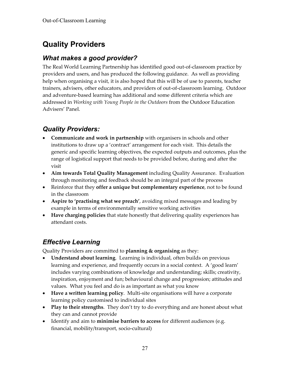# **Quality Providers**

### *What makes a good provider?*

The Real World Learning Partnership has identified good out-of-classroom practice by providers and users, and has produced the following guidance. As well as providing help when organising a visit, it is also hoped that this will be of use to parents, teacher trainers, advisers, other educators, and providers of out-of-classroom learning. Outdoor and adventure-based learning has additional and some different criteria which are addressed in *Working with Young People in the Outdoors* from the Outdoor Education Advisers' Panel.

## *Quality Providers:*

- **Communicate and work in partnership** with organisers in schools and other institutions to draw up a 'contract' arrangement for each visit. This details the generic and specific learning objectives, the expected outputs and outcomes, plus the range of logistical support that needs to be provided before, during and after the visit
- **Aim towards Total Quality Management** including Quality Assurance. Evaluation through monitoring and feedback should be an integral part of the process
- Reinforce that they **offer a unique but complementary experience**, not to be found in the classroom
- **Aspire to 'practising what we preach'**, avoiding mixed messages and leading by example in terms of environmentally sensitive working activities
- **Have charging policies** that state honestly that delivering quality experiences has attendant costs.

### *Effective Learning*

Quality Providers are committed to **planning & organising** as they:

- **Understand about learning**. Learning is individual, often builds on previous learning and experience, and frequently occurs in a social context. A 'good learn' includes varying combinations of knowledge and understanding; skills; creativity, inspiration, enjoyment and fun; behavioural change and progression; attitudes and values. What you feel and do is as important as what you know
- **Have a written learning policy**. Multi-site organisations will have a corporate learning policy customised to individual sites
- **Play to their strengths**. They don't try to do everything and are honest about what they can and cannot provide
- Identify and aim to **minimise barriers to access** for different audiences (e.g. financial, mobility/transport, socio-cultural)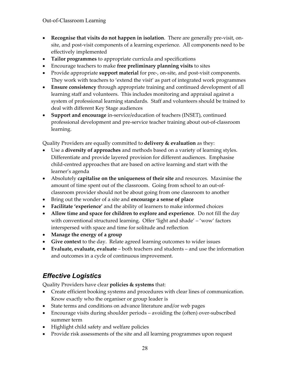- **Recognise that visits do not happen in isolation**. There are generally pre-visit, onsite, and post-visit components of a learning experience. All components need to be effectively implemented
- **Tailor programmes** to appropriate curricula and specifications
- Encourage teachers to make **free preliminary planning visits** to sites
- Provide appropriate **support material** for pre-, on-site, and post-visit components. They work with teachers to 'extend the visit' as part of integrated work programmes
- **Ensure consistency** through appropriate training and continued development of all learning staff and volunteers. This includes monitoring and appraisal against a system of professional learning standards. Staff and volunteers should be trained to deal with different Key Stage audiences
- **Support and encourage** in-service/education of teachers (INSET), continued professional development and pre-service teacher training about out-of-classroom learning.

Quality Providers are equally committed to **delivery & evaluation** as they:

- Use a **diversity of approaches** and methods based on a variety of learning styles. Differentiate and provide layered provision for different audiences. Emphasise child-centred approaches that are based on active learning and start with the learner's agenda
- Absolutely **capitalise on the uniqueness of their site** and resources. Maximise the amount of time spent out of the classroom. Going from school to an out-ofclassroom provider should not be about going from one classroom to another
- Bring out the wonder of a site and **encourage a sense of place**
- **Facilitate 'experience'** and the ability of learners to make informed choices
- **Allow time and space for children to explore and experience**. Do not fill the day with conventional structured learning. Offer 'light and shade' – 'wow' factors interspersed with space and time for solitude and reflection
- **Manage the energy of a group**
- **Give context** to the day. Relate agreed learning outcomes to wider issues
- **Evaluate, evaluate, evaluate** both teachers and students and use the information and outcomes in a cycle of continuous improvement.

# *Effective Logistics*

Quality Providers have clear **policies & systems** that:

- Create efficient booking systems and procedures with clear lines of communication. Know exactly who the organiser or group leader is
- State terms and conditions on advance literature and/or web pages
- Encourage visits during shoulder periods avoiding the (often) over-subscribed summer term
- Highlight child safety and welfare policies
- Provide risk assessments of the site and all learning programmes upon request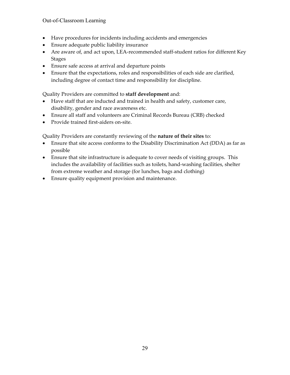- Have procedures for incidents including accidents and emergencies
- Ensure adequate public liability insurance
- Are aware of, and act upon, LEA-recommended staff-student ratios for different Key Stages
- Ensure safe access at arrival and departure points
- Ensure that the expectations, roles and responsibilities of each side are clarified, including degree of contact time and responsibility for discipline.

Quality Providers are committed to **staff development** and:

- Have staff that are inducted and trained in health and safety, customer care, disability, gender and race awareness etc.
- Ensure all staff and volunteers are Criminal Records Bureau (CRB) checked
- Provide trained first-aiders on-site.

Quality Providers are constantly reviewing of the **nature of their sites** to:

- Ensure that site access conforms to the Disability Discrimination Act (DDA) as far as possible
- Ensure that site infrastructure is adequate to cover needs of visiting groups. This includes the availability of facilities such as toilets, hand-washing facilities, shelter from extreme weather and storage (for lunches, bags and clothing)
- Ensure quality equipment provision and maintenance.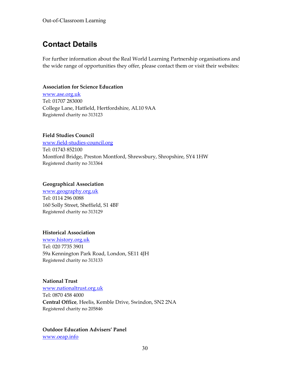# **Contact Details**

For further information about the Real World Learning Partnership organisations and the wide range of opportunities they offer, please contact them or visit their websites:

#### **Association for Science Education**

www.ase.org.uk Tel: 01707 283000 College Lane, Hatfield, Hertfordshire, AL10 9AA Registered charity no 313123

### **Field Studies Council**

www.field-studies-council.org Tel: 01743 852100 Montford Bridge, Preston Montford, Shrewsbury, Shropshire, SY4 1HW Registered charity no 313364

#### **Geographical Association**

www.geography.org.uk Tel: 0114 296 0088 160 Solly Street, Sheffield, S1 4BF Registered charity no 313129

### **Historical Association**

www.history.org.uk Tel: 020 7735 3901 59a Kennington Park Road, London, SE11 4JH Registered charity no 313133

### **National Trust**

www.nationaltrust.org.uk Tel: 0870 458 4000 **Central Office**, Heelis, Kemble Drive, Swindon, SN2 2NA Registered charity no 205846

**Outdoor Education Advisers' Panel**  www.oeap.info